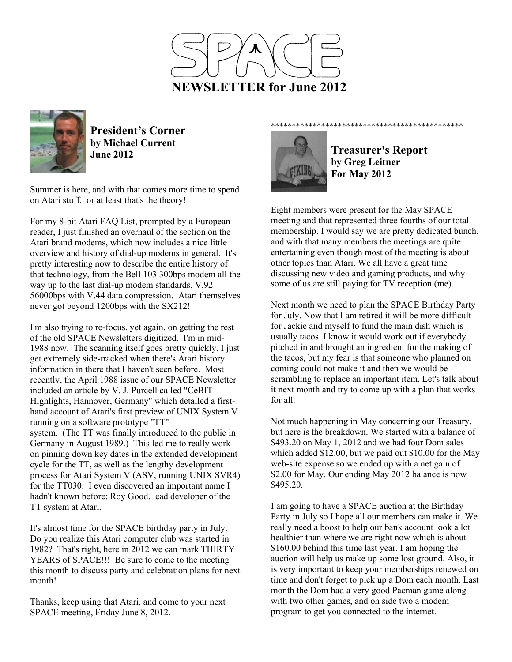



**President's Corner by Michael Current June 2012**

Summer is here, and with that comes more time to spend on Atari stuff.. or at least that's the theory!

For my 8-bit Atari FAQ List, prompted by a European reader, I just finished an overhaul of the section on the Atari brand modems, which now includes a nice little overview and history of dial-up modems in general. It's pretty interesting now to describe the entire history of that technology, from the Bell 103 300bps modem all the way up to the last dial-up modem standards, V.92 56000bps with V.44 data compression. Atari themselves never got beyond 1200bps with the SX212!

I'm also trying to re-focus, yet again, on getting the rest of the old SPACE Newsletters digitized. I'm in mid-1988 now. The scanning itself goes pretty quickly, I just get extremely side-tracked when there's Atari history information in there that I haven't seen before. Most recently, the April 1988 issue of our SPACE Newsletter included an article by V. J. Purcell called "CeBIT Highlights, Hannover, Germany" which detailed a firsthand account of Atari's first preview of UNIX System V running on a software prototype "TT" system. (The TT was finally introduced to the public in Germany in August 1989.) This led me to really work on pinning down key dates in the extended development cycle for the TT, as well as the lengthy development process for Atari System V (ASV, running UNIX SVR4) for the TT030. I even discovered an important name I hadn't known before: Roy Good, lead developer of the TT system at Atari.

It's almost time for the SPACE birthday party in July. Do you realize this Atari computer club was started in 1982? That's right, here in 2012 we can mark THIRTY YEARS of SPACE!!! Be sure to come to the meeting this month to discuss party and celebration plans for next month!

Thanks, keep using that Atari, and come to your next SPACE meeting, Friday June 8, 2012.



**Treasurer's Report by Greg Leitner For May 2012** 

\*\*\*\*\*\*\*\*\*\*\*\*\*\*\*\*\*\*\*\*\*\*\*\*\*\*\*\*\*\*\*\*\*\*\*\*\*\*\*\*\*\*\*\*\*\*

Eight members were present for the May SPACE meeting and that represented three fourths of our total membership. I would say we are pretty dedicated bunch, and with that many members the meetings are quite entertaining even though most of the meeting is about other topics than Atari. We all have a great time discussing new video and gaming products, and why some of us are still paying for TV reception (me).

Next month we need to plan the SPACE Birthday Party for July. Now that I am retired it will be more difficult for Jackie and myself to fund the main dish which is usually tacos. I know it would work out if everybody pitched in and brought an ingredient for the making of the tacos, but my fear is that someone who planned on coming could not make it and then we would be scrambling to replace an important item. Let's talk about it next month and try to come up with a plan that works for all

Not much happening in May concerning our Treasury, but here is the breakdown. We started with a balance of \$493.20 on May 1, 2012 and we had four Dom sales which added \$12.00, but we paid out \$10.00 for the May web-site expense so we ended up with a net gain of \$2.00 for May. Our ending May 2012 balance is now \$495.20.

I am going to have a SPACE auction at the Birthday Party in July so I hope all our members can make it. We really need a boost to help our bank account look a lot healthier than where we are right now which is about \$160.00 behind this time last year. I am hoping the auction will help us make up some lost ground. Also, it is very important to keep your memberships renewed on time and don't forget to pick up a Dom each month. Last month the Dom had a very good Pacman game along with two other games, and on side two a modem program to get you connected to the internet.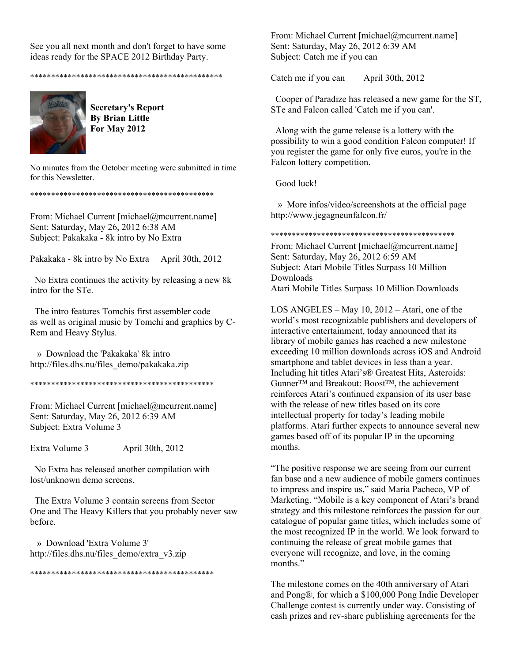See you all next month and don't forget to have some ideas ready for the SPACE 2012 Birthday Party.

\*\*\*\*\*\*\*\*\*\*\*\*\*\*\*\*\*\*\*\*\*\*\*\*\*\*\*\*\*\*\*\*\*\*\*\*\*\*\*\*\*\*\*\*\*\*



**Secretary's Report By Brian Little For May 2012** 

No minutes from the October meeting were submitted in time for this Newsletter.

\*\*\*\*\*\*\*\*\*\*\*\*\*\*\*\*\*\*\*\*\*\*\*\*\*\*\*\*\*\*\*\*\*\*\*\*\*\*\*\*\*\*\*\*

From: Michael Current [michael@mcurrent.name] Sent: Saturday, May 26, 2012 6:38 AM Subject: Pakakaka - 8k intro by No Extra

Pakakaka - 8k intro by No Extra April 30th, 2012

 No Extra continues the activity by releasing a new 8k intro for the STe.

 The intro features Tomchis first assembler code as well as original music by Tomchi and graphics by C-Rem and Heavy Stylus.

 » Download the 'Pakakaka' 8k intro http://files.dhs.nu/files\_demo/pakakaka.zip

\*\*\*\*\*\*\*\*\*\*\*\*\*\*\*\*\*\*\*\*\*\*\*\*\*\*\*\*\*\*\*\*\*\*\*\*\*\*\*\*\*\*\*\*

From: Michael Current [michael@mcurrent.name] Sent: Saturday, May 26, 2012 6:39 AM Subject: Extra Volume 3

Extra Volume 3 April 30th, 2012

 No Extra has released another compilation with lost/unknown demo screens.

 The Extra Volume 3 contain screens from Sector One and The Heavy Killers that you probably never saw before.

 » Download 'Extra Volume 3' http://files.dhs.nu/files\_demo/extra\_v3.zip

\*\*\*\*\*\*\*\*\*\*\*\*\*\*\*\*\*\*\*\*\*\*\*\*\*\*\*\*\*\*\*\*\*\*\*\*\*\*\*\*\*\*\*\*

From: Michael Current [michael@mcurrent.name] Sent: Saturday, May 26, 2012 6:39 AM Subject: Catch me if you can

Catch me if you can April 30th, 2012

 Cooper of Paradize has released a new game for the ST, STe and Falcon called 'Catch me if you can'.

 Along with the game release is a lottery with the possibility to win a good condition Falcon computer! If you register the game for only five euros, you're in the Falcon lottery competition.

Good luck!

 » More infos/video/screenshots at the official page http://www.jegagneunfalcon.fr/

\*\*\*\*\*\*\*\*\*\*\*\*\*\*\*\*\*\*\*\*\*\*\*\*\*\*\*\*\*\*\*\*\*\*\*\*\*\*\*\*\*\*\*\*

From: Michael Current [michael@mcurrent.name] Sent: Saturday, May 26, 2012 6:59 AM Subject: Atari Mobile Titles Surpass 10 Million Downloads Atari Mobile Titles Surpass 10 Million Downloads

LOS ANGELES – May 10, 2012 – Atari, one of the world's most recognizable publishers and developers of interactive entertainment, today announced that its library of mobile games has reached a new milestone exceeding 10 million downloads across iOS and Android smartphone and tablet devices in less than a year. Including hit titles Atari's® Greatest Hits, Asteroids: Gunner™ and Breakout: Boost™, the achievement reinforces Atari's continued expansion of its user base with the release of new titles based on its core intellectual property for today's leading mobile platforms. Atari further expects to announce several new games based off of its popular IP in the upcoming months.

"The positive response we are seeing from our current fan base and a new audience of mobile gamers continues to impress and inspire us," said Maria Pacheco, VP of Marketing. "Mobile is a key component of Atari's brand strategy and this milestone reinforces the passion for our catalogue of popular game titles, which includes some of the most recognized IP in the world. We look forward to continuing the release of great mobile games that everyone will recognize, and love, in the coming months<sup>"</sup>

The milestone comes on the 40th anniversary of Atari and Pong®, for which a \$100,000 Pong Indie Developer Challenge contest is currently under way. Consisting of cash prizes and rev-share publishing agreements for the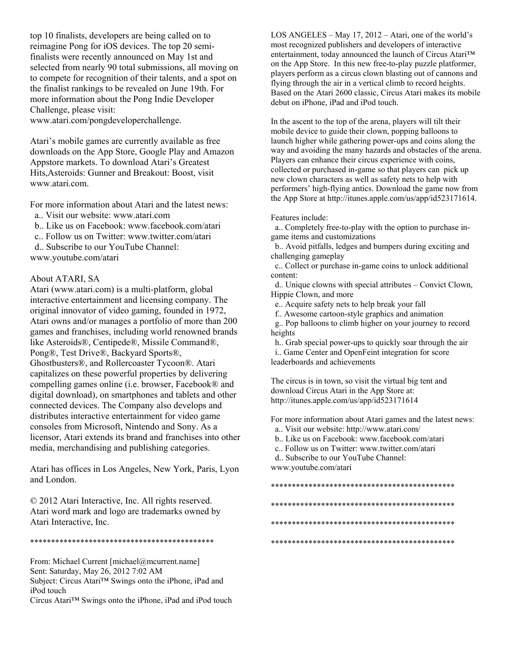top 10 finalists, developers are being called on to reimagine Pong for iOS devices. The top 20 semifinalists were recently announced on May 1st and selected from nearly 90 total submissions, all moving on to compete for recognition of their talents, and a spot on the finalist rankings to be revealed on June 19th. For more information about the Pong Indie Developer Challenge, please visit:

www.atari.com/pongdeveloperchallenge.

Atari's mobile games are currently available as free downloads on the App Store, Google Play and Amazon Appstore markets. To download Atari's Greatest Hits,Asteroids: Gunner and Breakout: Boost, visit www.atari.com.

For more information about Atari and the latest news:

- a.. Visit our website: www.atari.com
- b.. Like us on Facebook: www.facebook.com/atari
- c.. Follow us on Twitter: www.twitter.com/atari
- d.. Subscribe to our YouTube Channel: www.youtube.com/atari

## About ATARI, SA

Atari (www.atari.com) is a multi-platform, global interactive entertainment and licensing company. The original innovator of video gaming, founded in 1972, Atari owns and/or manages a portfolio of more than 200 games and franchises, including world renowned brands like Asteroids®, Centipede®, Missile Command®, Pong®, Test Drive®, Backyard Sports®, Ghostbusters®, and Rollercoaster Tycoon®. Atari capitalizes on these powerful properties by delivering compelling games online (i.e. browser, Facebook® and digital download), on smartphones and tablets and other connected devices. The Company also develops and distributes interactive entertainment for video game consoles from Microsoft, Nintendo and Sony. As a licensor, Atari extends its brand and franchises into other media, merchandising and publishing categories.

Atari has offices in Los Angeles, New York, Paris, Lyon and London.

© 2012 Atari Interactive, Inc. All rights reserved. Atari word mark and logo are trademarks owned by Atari Interactive, Inc.

\*\*\*\*\*\*\*\*\*\*\*\*\*\*\*\*\*\*\*\*\*\*\*\*\*\*\*\*\*\*\*\*\*\*\*\*\*\*\*\*\*\*\*\*

From: Michael Current [michael@mcurrent.name] Sent: Saturday, May 26, 2012 7:02 AM Subject: Circus Atari™ Swings onto the iPhone, iPad and iPod touch

Circus Atari™ Swings onto the iPhone, iPad and iPod touch

LOS ANGELES – May 17, 2012 – Atari, one of the world's most recognized publishers and developers of interactive entertainment, today announced the launch of Circus Atari™ on the App Store. In this new free-to-play puzzle platformer, players perform as a circus clown blasting out of cannons and flying through the air in a vertical climb to record heights. Based on the Atari 2600 classic, Circus Atari makes its mobile debut on iPhone, iPad and iPod touch.

In the ascent to the top of the arena, players will tilt their mobile device to guide their clown, popping balloons to launch higher while gathering power-ups and coins along the way and avoiding the many hazards and obstacles of the arena. Players can enhance their circus experience with coins, collected or purchased in-game so that players can pick up new clown characters as well as safety nets to help with performers' high-flying antics. Download the game now from the App Store at http://itunes.apple.com/us/app/id523171614.

Features include:

 a.. Completely free-to-play with the option to purchase ingame items and customizations

 b.. Avoid pitfalls, ledges and bumpers during exciting and challenging gameplay

 c.. Collect or purchase in-game coins to unlock additional content:

 d.. Unique clowns with special attributes – Convict Clown, Hippie Clown, and more

e.. Acquire safety nets to help break your fall

f.. Awesome cartoon-style graphics and animation

 g.. Pop balloons to climb higher on your journey to record heights

h.. Grab special power-ups to quickly soar through the air

 i.. Game Center and OpenFeint integration for score leaderboards and achievements

The circus is in town, so visit the virtual big tent and download Circus Atari in the App Store at: http://itunes.apple.com/us/app/id523171614

For more information about Atari games and the latest news:

a.. Visit our website: http://www.atari.com/

- b.. Like us on Facebook: www.facebook.com/atari
- c.. Follow us on Twitter: www.twitter.com/atari

d.. Subscribe to our YouTube Channel:

www.youtube.com/atari